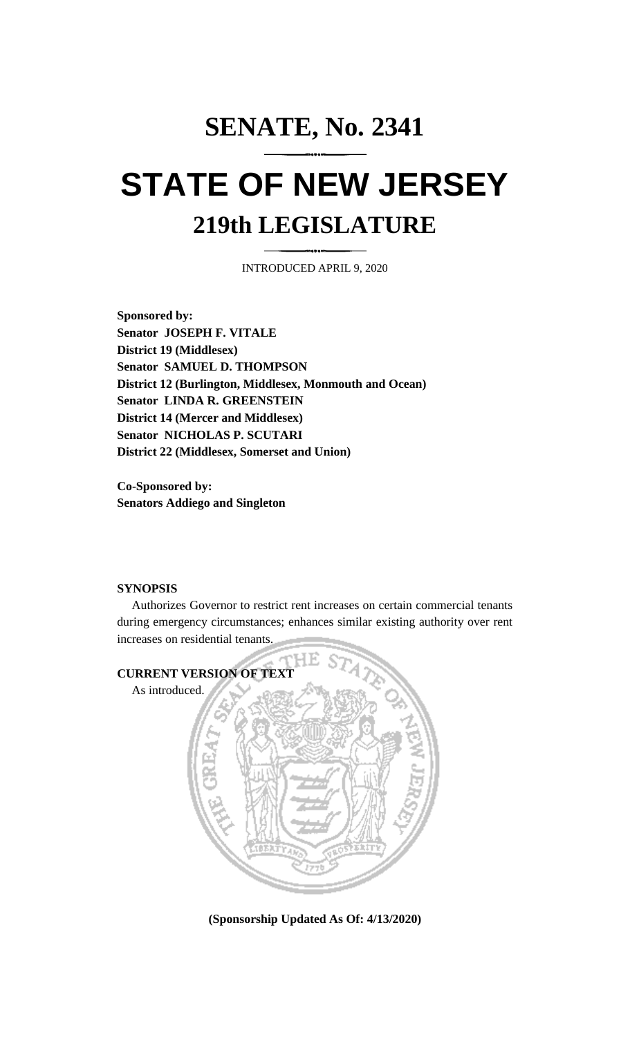## **SENATE, No. 2341 STATE OF NEW JERSEY 219th LEGISLATURE**

INTRODUCED APRIL 9, 2020

**Sponsored by: Senator JOSEPH F. VITALE District 19 (Middlesex) Senator SAMUEL D. THOMPSON District 12 (Burlington, Middlesex, Monmouth and Ocean) Senator LINDA R. GREENSTEIN District 14 (Mercer and Middlesex) Senator NICHOLAS P. SCUTARI District 22 (Middlesex, Somerset and Union)**

**Co-Sponsored by: Senators Addiego and Singleton**

## **SYNOPSIS**

Authorizes Governor to restrict rent increases on certain commercial tenants during emergency circumstances; enhances similar existing authority over rent increases on residential tenants.



**(Sponsorship Updated As Of: 4/13/2020)**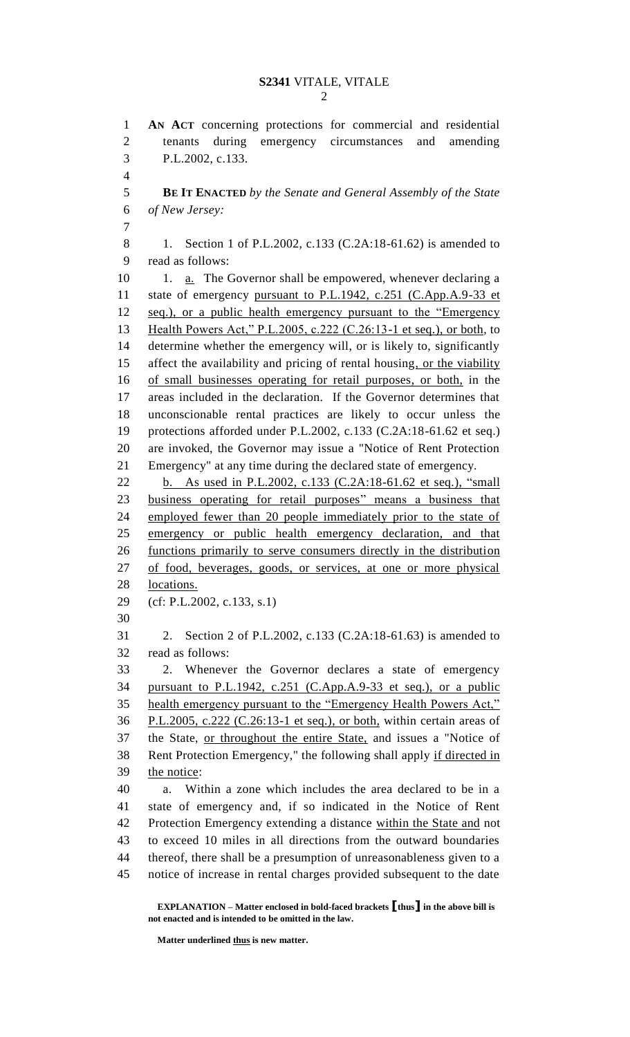**AN ACT** concerning protections for commercial and residential tenants during emergency circumstances and amending P.L.2002, c.133. **BE IT ENACTED** *by the Senate and General Assembly of the State of New Jersey:* 8 1. Section 1 of P.L.2002, c.133 (C.2A:18-61.62) is amended to read as follows: 10 1. **a.** The Governor shall be empowered, whenever declaring a state of emergency pursuant to P.L.1942, c.251 (C.App.A.9-33 et seq.), or a public health emergency pursuant to the "Emergency Health Powers Act," P.L.2005, c.222 (C.26:13-1 et seq.), or both, to determine whether the emergency will, or is likely to, significantly 15 affect the availability and pricing of rental housing, or the viability of small businesses operating for retail purposes, or both, in the areas included in the declaration. If the Governor determines that unconscionable rental practices are likely to occur unless the protections afforded under P.L.2002, c.133 (C.2A:18-61.62 et seq.) are invoked, the Governor may issue a "Notice of Rent Protection Emergency" at any time during the declared state of emergency. b. As used in P.L.2002, c.133 (C.2A:18-61.62 et seq.), "small business operating for retail purposes" means a business that employed fewer than 20 people immediately prior to the state of emergency or public health emergency declaration, and that functions primarily to serve consumers directly in the distribution of food, beverages, goods, or services, at one or more physical locations. (cf: P.L.2002, c.133, s.1) 2. Section 2 of P.L.2002, c.133 (C.2A:18-61.63) is amended to read as follows: 2. Whenever the Governor declares a state of emergency pursuant to P.L.1942, c.251 (C.App.A.9-33 et seq.), or a public health emergency pursuant to the "Emergency Health Powers Act," P.L.2005, c.222 (C.26:13-1 et seq.), or both, within certain areas of the State, or throughout the entire State, and issues a "Notice of Rent Protection Emergency," the following shall apply if directed in the notice: a. Within a zone which includes the area declared to be in a state of emergency and, if so indicated in the Notice of Rent 42 Protection Emergency extending a distance within the State and not to exceed 10 miles in all directions from the outward boundaries thereof, there shall be a presumption of unreasonableness given to a notice of increase in rental charges provided subsequent to the date

**EXPLANATION – Matter enclosed in bold-faced brackets [thus] in the above bill is not enacted and is intended to be omitted in the law.**

**Matter underlined thus is new matter.**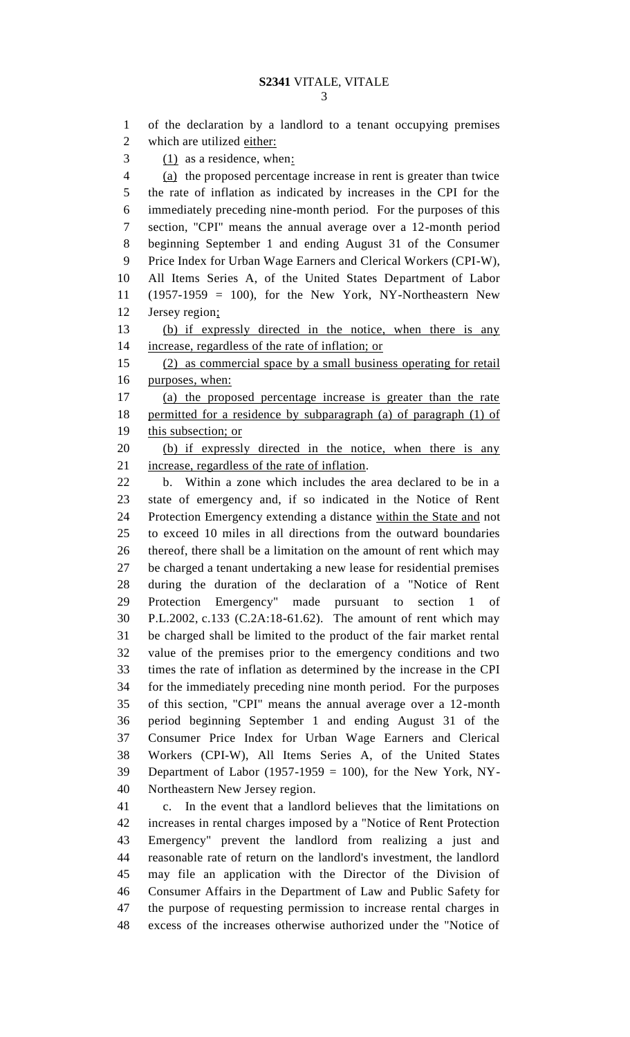of the declaration by a landlord to a tenant occupying premises which are utilized either: (1) as a residence, when: (a) the proposed percentage increase in rent is greater than twice the rate of inflation as indicated by increases in the CPI for the immediately preceding nine-month period. For the purposes of this section, "CPI" means the annual average over a 12-month period beginning September 1 and ending August 31 of the Consumer Price Index for Urban Wage Earners and Clerical Workers (CPI-W), All Items Series A, of the United States Department of Labor (1957-1959 = 100), for the New York, NY-Northeastern New Jersey region; (b) if expressly directed in the notice, when there is any increase, regardless of the rate of inflation; or (2) as commercial space by a small business operating for retail purposes, when: (a) the proposed percentage increase is greater than the rate permitted for a residence by subparagraph (a) of paragraph (1) of this subsection; or (b) if expressly directed in the notice, when there is any increase, regardless of the rate of inflation. b. Within a zone which includes the area declared to be in a state of emergency and, if so indicated in the Notice of Rent Protection Emergency extending a distance within the State and not to exceed 10 miles in all directions from the outward boundaries thereof, there shall be a limitation on the amount of rent which may be charged a tenant undertaking a new lease for residential premises during the duration of the declaration of a "Notice of Rent Protection Emergency" made pursuant to section 1 of P.L.2002, c.133 (C.2A:18-61.62). The amount of rent which may be charged shall be limited to the product of the fair market rental value of the premises prior to the emergency conditions and two times the rate of inflation as determined by the increase in the CPI for the immediately preceding nine month period. For the purposes of this section, "CPI" means the annual average over a 12-month period beginning September 1 and ending August 31 of the Consumer Price Index for Urban Wage Earners and Clerical Workers (CPI-W), All Items Series A, of the United States Department of Labor (1957-1959 = 100), for the New York, NY- Northeastern New Jersey region. c. In the event that a landlord believes that the limitations on increases in rental charges imposed by a "Notice of Rent Protection Emergency" prevent the landlord from realizing a just and reasonable rate of return on the landlord's investment, the landlord may file an application with the Director of the Division of Consumer Affairs in the Department of Law and Public Safety for the purpose of requesting permission to increase rental charges in

excess of the increases otherwise authorized under the "Notice of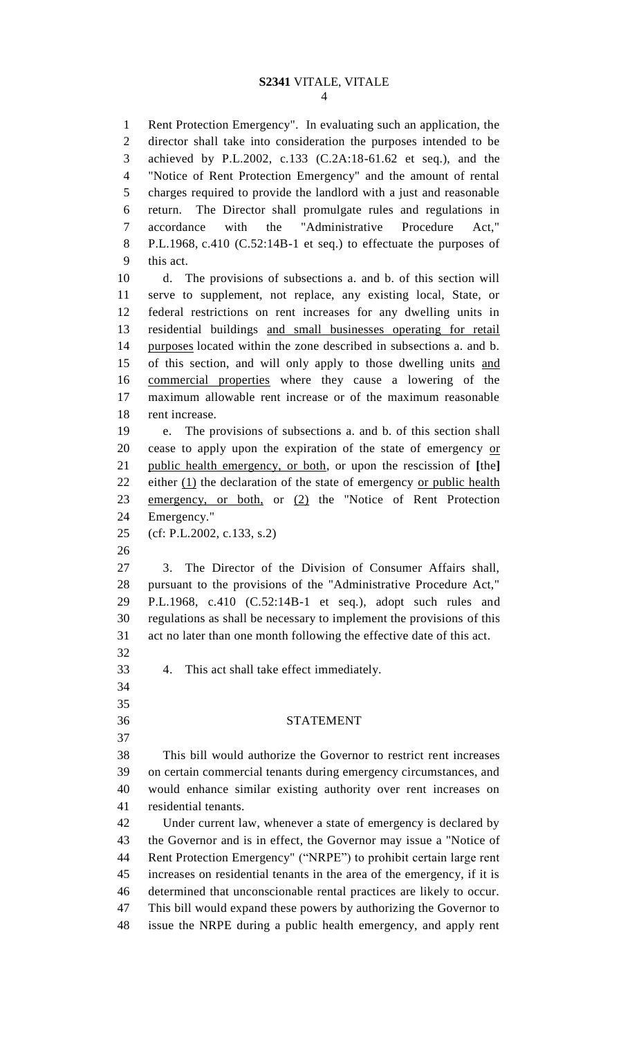## **S2341** VITALE, VITALE

 Rent Protection Emergency". In evaluating such an application, the director shall take into consideration the purposes intended to be achieved by P.L.2002, c.133 (C.2A:18-61.62 et seq.), and the "Notice of Rent Protection Emergency" and the amount of rental charges required to provide the landlord with a just and reasonable return. The Director shall promulgate rules and regulations in accordance with the "Administrative Procedure Act," P.L.1968, c.410 (C.52:14B-1 et seq.) to effectuate the purposes of this act. d. The provisions of subsections a. and b. of this section will serve to supplement, not replace, any existing local, State, or federal restrictions on rent increases for any dwelling units in residential buildings and small businesses operating for retail purposes located within the zone described in subsections a. and b. of this section, and will only apply to those dwelling units and commercial properties where they cause a lowering of the maximum allowable rent increase or of the maximum reasonable rent increase. e. The provisions of subsections a. and b. of this section shall cease to apply upon the expiration of the state of emergency or public health emergency, or both, or upon the rescission of **[**the**]** 22 either (1) the declaration of the state of emergency or public health emergency, or both, or (2) the "Notice of Rent Protection Emergency." (cf: P.L.2002, c.133, s.2) 3. The Director of the Division of Consumer Affairs shall, pursuant to the provisions of the "Administrative Procedure Act," P.L.1968, c.410 (C.52:14B-1 et seq.), adopt such rules and regulations as shall be necessary to implement the provisions of this act no later than one month following the effective date of this act. 4. This act shall take effect immediately. STATEMENT This bill would authorize the Governor to restrict rent increases on certain commercial tenants during emergency circumstances, and would enhance similar existing authority over rent increases on residential tenants. Under current law, whenever a state of emergency is declared by the Governor and is in effect, the Governor may issue a "Notice of Rent Protection Emergency" ("NRPE") to prohibit certain large rent increases on residential tenants in the area of the emergency, if it is determined that unconscionable rental practices are likely to occur. This bill would expand these powers by authorizing the Governor to issue the NRPE during a public health emergency, and apply rent